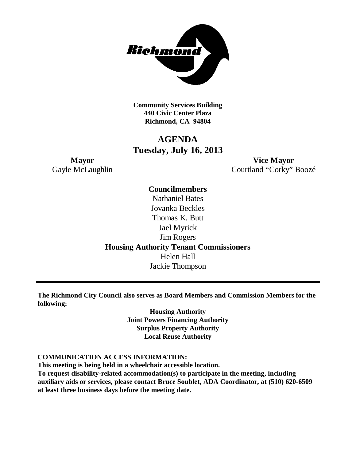

**Community Services Building 440 Civic Center Plaza Richmond, CA 94804**

# **AGENDA Tuesday, July 16, 2013**

**Mayor Vice Mayor** Gayle McLaughlin Courtland "Corky" Boozé

> **Councilmembers** Nathaniel Bates Jovanka Beckles Thomas K. Butt Jael Myrick Jim Rogers **Housing Authority Tenant Commissioners** Helen Hall Jackie Thompson

**The Richmond City Council also serves as Board Members and Commission Members for the following:**

> **Housing Authority Joint Powers Financing Authority Surplus Property Authority Local Reuse Authority**

#### **COMMUNICATION ACCESS INFORMATION:**

**This meeting is being held in a wheelchair accessible location.**

**To request disability-related accommodation(s) to participate in the meeting, including auxiliary aids or services, please contact Bruce Soublet, ADA Coordinator, at (510) 620-6509 at least three business days before the meeting date.**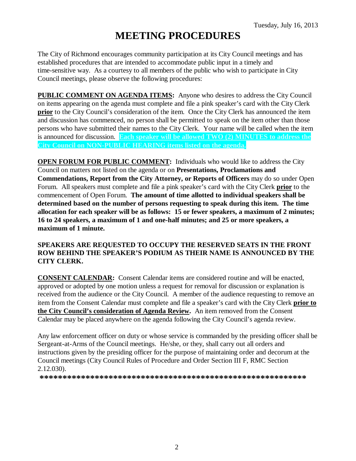# **MEETING PROCEDURES**

The City of Richmond encourages community participation at its City Council meetings and has established procedures that are intended to accommodate public input in a timely and time-sensitive way. As a courtesy to all members of the public who wish to participate in City Council meetings, please observe the following procedures:

**PUBLIC COMMENT ON AGENDA ITEMS:** Anyone who desires to address the City Council on items appearing on the agenda must complete and file a pink speaker's card with the City Clerk **prior** to the City Council's consideration of the item. Once the City Clerk has announced the item and discussion has commenced, no person shall be permitted to speak on the item other than those persons who have submitted their names to the City Clerk. Your name will be called when the item is announced for discussion. **Each speaker will be allowed TWO (2) MINUTES to address the City Council on NON-PUBLIC HEARING items listed on the agenda.**

**OPEN FORUM FOR PUBLIC COMMENT:** Individuals who would like to address the City Council on matters not listed on the agenda or on **Presentations, Proclamations and Commendations, Report from the City Attorney, or Reports of Officers** may do so under Open Forum. All speakers must complete and file a pink speaker's card with the City Clerk **prior** to the commencement of Open Forum. **The amount of time allotted to individual speakers shall be determined based on the number of persons requesting to speak during this item. The time allocation for each speaker will be as follows: 15 or fewer speakers, a maximum of 2 minutes; 16 to 24 speakers, a maximum of 1 and one-half minutes; and 25 or more speakers, a maximum of 1 minute.**

#### **SPEAKERS ARE REQUESTED TO OCCUPY THE RESERVED SEATS IN THE FRONT ROW BEHIND THE SPEAKER'S PODIUM AS THEIR NAME IS ANNOUNCED BY THE CITY CLERK.**

**CONSENT CALENDAR:** Consent Calendar items are considered routine and will be enacted, approved or adopted by one motion unless a request for removal for discussion or explanation is received from the audience or the City Council. A member of the audience requesting to remove an item from the Consent Calendar must complete and file a speaker's card with the City Clerk **prior to the City Council's consideration of Agenda Review.** An item removed from the Consent Calendar may be placed anywhere on the agenda following the City Council's agenda review.

Any law enforcement officer on duty or whose service is commanded by the presiding officer shall be Sergeant-at-Arms of the Council meetings. He/she, or they, shall carry out all orders and instructions given by the presiding officer for the purpose of maintaining order and decorum at the Council meetings (City Council Rules of Procedure and Order Section III F, RMC Section 2.12.030).

**\*\*\*\*\*\*\*\*\*\*\*\*\*\*\*\*\*\*\*\*\*\*\*\*\*\*\*\*\*\*\*\*\*\*\*\*\*\*\*\*\*\*\*\*\*\*\*\*\*\*\*\*\*\*\*\*\*\***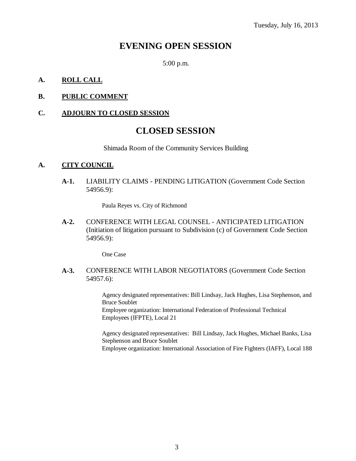## **EVENING OPEN SESSION**

5:00 p.m.

#### **A. ROLL CALL**

#### **B. PUBLIC COMMENT**

#### **C. ADJOURN TO CLOSED SESSION**

### **CLOSED SESSION**

Shimada Room of the Community Services Building

#### **A. CITY COUNCIL**

**A-1.** LIABILITY CLAIMS - PENDING LITIGATION (Government Code Section 54956.9):

Paula Reyes vs. City of Richmond

**A-2.** CONFERENCE WITH LEGAL COUNSEL - ANTICIPATED LITIGATION (Initiation of litigation pursuant to Subdivision (c) of Government Code Section 54956.9):

One Case

**A-3.** CONFERENCE WITH LABOR NEGOTIATORS (Government Code Section 54957.6):

> Agency designated representatives: Bill Lindsay, Jack Hughes, Lisa Stephenson, and Bruce Soublet Employee organization: International Federation of Professional Technical Employees (IFPTE), Local 21

> Agency designated representatives: Bill Lindsay, Jack Hughes, Michael Banks, Lisa Stephenson and Bruce Soublet Employee organization: International Association of Fire Fighters (IAFF), Local 188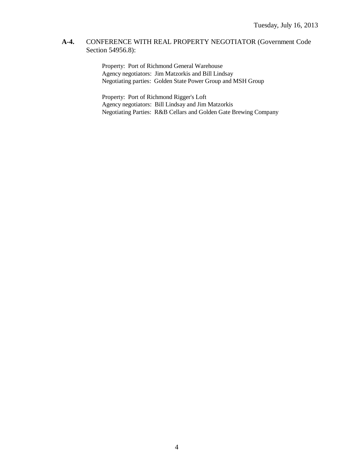#### **A-4.** CONFERENCE WITH REAL PROPERTY NEGOTIATOR (Government Code Section 54956.8):

Property: Port of Richmond General Warehouse Agency negotiators: Jim Matzorkis and Bill Lindsay Negotiating parties: Golden State Power Group and MSH Group

Property: Port of Richmond Rigger's Loft Agency negotiators: Bill Lindsay and Jim Matzorkis Negotiating Parties: R&B Cellars and Golden Gate Brewing Company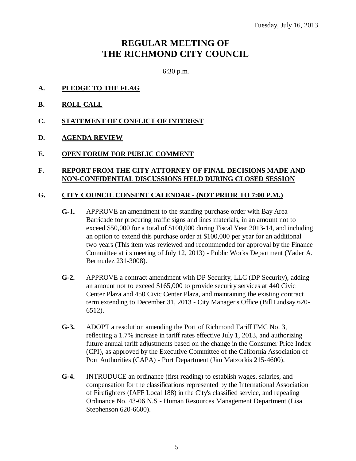# **REGULAR MEETING OF THE RICHMOND CITY COUNCIL**

6:30 p.m.

- **A. PLEDGE TO THE FLAG**
- **B. ROLL CALL**
- **C. STATEMENT OF CONFLICT OF INTEREST**
- **D. AGENDA REVIEW**
- **E. OPEN FORUM FOR PUBLIC COMMENT**

#### **F. REPORT FROM THE CITY ATTORNEY OF FINAL DECISIONS MADE AND NON-CONFIDENTIAL DISCUSSIONS HELD DURING CLOSED SESSION**

#### **G. CITY COUNCIL CONSENT CALENDAR - (NOT PRIOR TO 7:00 P.M.)**

- **G-1.** APPROVE an amendment to the standing purchase order with Bay Area Barricade for procuring traffic signs and lines materials, in an amount not to exceed \$50,000 for a total of \$100,000 during Fiscal Year 2013-14, and including an option to extend this purchase order at \$100,000 per year for an additional two years (This item was reviewed and recommended for approval by the Finance Committee at its meeting of July 12, 2013) - Public Works Department (Yader A. Bermudez 231-3008).
- **G-2.** APPROVE a contract amendment with DP Security, LLC (DP Security), adding an amount not to exceed \$165,000 to provide security services at 440 Civic Center Plaza and 450 Civic Center Plaza, and maintaining the existing contract term extending to December 31, 2013 - City Manager's Office (Bill Lindsay 620- 6512).
- **G-3.** ADOPT a resolution amending the Port of Richmond Tariff FMC No. 3, reflecting a 1.7% increase in tariff rates effective July 1, 2013, and authorizing future annual tariff adjustments based on the change in the Consumer Price Index (CPI), as approved by the Executive Committee of the California Association of Port Authorities (CAPA) - Port Department (Jim Matzorkis 215-4600).
- **G-4.** INTRODUCE an ordinance (first reading) to establish wages, salaries, and compensation for the classifications represented by the International Association of Firefighters (IAFF Local 188) in the City's classified service, and repealing Ordinance No. 43-06 N.S - Human Resources Management Department (Lisa Stephenson 620-6600).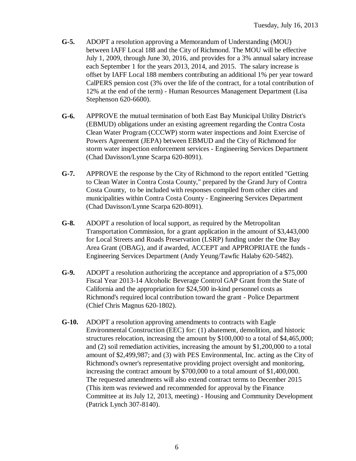- **G-5.** ADOPT a resolution approving a Memorandum of Understanding (MOU) between IAFF Local 188 and the City of Richmond. The MOU will be effective July 1, 2009, through June 30, 2016, and provides for a 3% annual salary increase each September 1 for the years 2013, 2014, and 2015. The salary increase is offset by IAFF Local 188 members contributing an additional 1% per year toward CalPERS pension cost (3% over the life of the contract, for a total contribution of 12% at the end of the term) - Human Resources Management Department (Lisa Stephenson 620-6600).
- **G-6.** APPROVE the mutual termination of both East Bay Municipal Utility District's (EBMUD) obligations under an existing agreement regarding the Contra Costa Clean Water Program (CCCWP) storm water inspections and Joint Exercise of Powers Agreement (JEPA) between EBMUD and the City of Richmond for storm water inspection enforcement services - Engineering Services Department (Chad Davisson/Lynne Scarpa 620-8091).
- **G-7.** APPROVE the response by the City of Richmond to the report entitled "Getting to Clean Water in Contra Costa County," prepared by the Grand Jury of Contra Costa County, to be included with responses compiled from other cities and municipalities within Contra Costa County - Engineering Services Department (Chad Davisson/Lynne Scarpa 620-8091).
- **G-8.** ADOPT a resolution of local support, as required by the Metropolitan Transportation Commission, for a grant application in the amount of \$3,443,000 for Local Streets and Roads Preservation (LSRP) funding under the One Bay Area Grant (OBAG), and if awarded, ACCEPT and APPROPRIATE the funds - Engineering Services Department (Andy Yeung/Tawfic Halaby 620-5482).
- **G-9.** ADOPT a resolution authorizing the acceptance and appropriation of a \$75,000 Fiscal Year 2013-14 Alcoholic Beverage Control GAP Grant from the State of California and the appropriation for \$24,500 in-kind personnel costs as Richmond's required local contribution toward the grant - Police Department (Chief Chris Magnus 620-1802).
- **G-10.** ADOPT a resolution approving amendments to contracts with Eagle Environmental Construction (EEC) for: (1) abatement, demolition, and historic structures relocation, increasing the amount by \$100,000 to a total of \$4,465,000; and (2) soil remediation activities, increasing the amount by \$1,200,000 to a total amount of \$2,499,987; and (3) with PES Environmental, Inc. acting as the City of Richmond's owner's representative providing project oversight and monitoring, increasing the contract amount by \$700,000 to a total amount of \$1,400,000. The requested amendments will also extend contract terms to December 2015 (This item was reviewed and recommended for approval by the Finance Committee at its July 12, 2013, meeting) - Housing and Community Development (Patrick Lynch 307-8140).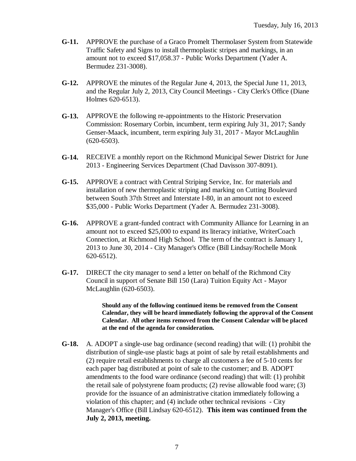- **G-11.** APPROVE the purchase of a Graco Promelt Thermolaser System from Statewide Traffic Safety and Signs to install thermoplastic stripes and markings, in an amount not to exceed \$17,058.37 - Public Works Department (Yader A. Bermudez 231-3008).
- **G-12.** APPROVE the minutes of the Regular June 4, 2013, the Special June 11, 2013, and the Regular July 2, 2013, City Council Meetings - City Clerk's Office (Diane Holmes 620-6513).
- **G-13.** APPROVE the following re-appointments to the Historic Preservation Commission: Rosemary Corbin, incumbent, term expiring July 31, 2017; Sandy Genser-Maack, incumbent, term expiring July 31, 2017 - Mayor McLaughlin (620-6503).
- **G-14.** RECEIVE a monthly report on the Richmond Municipal Sewer District for June 2013 - Engineering Services Department (Chad Davisson 307-8091).
- **G-15.** APPROVE a contract with Central Striping Service, Inc. for materials and installation of new thermoplastic striping and marking on Cutting Boulevard between South 37th Street and Interstate I-80, in an amount not to exceed \$35,000 - Public Works Department (Yader A. Bermudez 231-3008).
- **G-16.** APPROVE a grant-funded contract with Community Alliance for Learning in an amount not to exceed \$25,000 to expand its literacy initiative, WriterCoach Connection, at Richmond High School. The term of the contract is January 1, 2013 to June 30, 2014 - City Manager's Office (Bill Lindsay/Rochelle Monk 620-6512).
- **G-17.** DIRECT the city manager to send a letter on behalf of the Richmond City Council in support of Senate Bill 150 (Lara) Tuition Equity Act - Mayor McLaughlin (620-6503).

**Should any of the following continued items be removed from the Consent Calendar, they will be heard immediately following the approval of the Consent Calendar. All other items removed from the Consent Calendar will be placed at the end of the agenda for consideration.**

**G-18.** A. ADOPT a single-use bag ordinance (second reading) that will: (1) prohibit the distribution of single-use plastic bags at point of sale by retail establishments and (2) require retail establishments to charge all customers a fee of 5-10 cents for each paper bag distributed at point of sale to the customer; and B. ADOPT amendments to the food ware ordinance (second reading) that will: (1) prohibit the retail sale of polystyrene foam products; (2) revise allowable food ware; (3) provide for the issuance of an administrative citation immediately following a violation of this chapter; and (4) include other technical revisions - City Manager's Office (Bill Lindsay 620-6512). **This item was continued from the July 2, 2013, meeting.**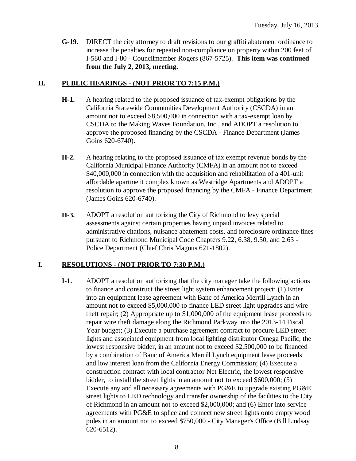**G-19.** DIRECT the city attorney to draft revisions to our graffiti abatement ordinance to increase the penalties for repeated non-compliance on property within 200 feet of I-580 and I-80 - Councilmember Rogers (867-5725). **This item was continued from the July 2, 2013, meeting.**

#### **H. PUBLIC HEARINGS - (NOT PRIOR TO 7:15 P.M.)**

- **H-1.** A hearing related to the proposed issuance of tax-exempt obligations by the California Statewide Communities Development Authority (CSCDA) in an amount not to exceed \$8,500,000 in connection with a tax-exempt loan by CSCDA to the Making Waves Foundation, Inc., and ADOPT a resolution to approve the proposed financing by the CSCDA - Finance Department (James Goins 620-6740).
- **H-2.** A hearing relating to the proposed issuance of tax exempt revenue bonds by the California Municipal Finance Authority (CMFA) in an amount not to exceed \$40,000,000 in connection with the acquisition and rehabilitation of a 401-unit affordable apartment complex known as Westridge Apartments and ADOPT a resolution to approve the proposed financing by the CMFA - Finance Department (James Goins 620-6740).
- **H-3.** ADOPT a resolution authorizing the City of Richmond to levy special assessments against certain properties having unpaid invoices related to administrative citations, nuisance abatement costs, and foreclosure ordinance fines pursuant to Richmond Municipal Code Chapters 9.22, 6.38, 9.50, and 2.63 - Police Department (Chief Chris Magnus 621-1802).

### **I. RESOLUTIONS - (NOT PRIOR TO 7:30 P.M.)**

**I-1.** ADOPT a resolution authorizing that the city manager take the following actions to finance and construct the street light system enhancement project: (1) Enter into an equipment lease agreement with Banc of America Merrill Lynch in an amount not to exceed \$5,000,000 to finance LED street light upgrades and wire theft repair; (2) Appropriate up to \$1,000,000 of the equipment lease proceeds to repair wire theft damage along the Richmond Parkway into the 2013-14 Fiscal Year budget; (3) Execute a purchase agreement contract to procure LED street lights and associated equipment from local lighting distributor Omega Pacific, the lowest responsive bidder, in an amount not to exceed \$2,500,000 to be financed by a combination of Banc of America Merrill Lynch equipment lease proceeds and low interest loan from the California Energy Commission; (4) Execute a construction contract with local contractor Net Electric, the lowest responsive bidder, to install the street lights in an amount not to exceed \$600,000; (5) Execute any and all necessary agreements with PG&E to upgrade existing PG&E street lights to LED technology and transfer ownership of the facilities to the City of Richmond in an amount not to exceed \$2,000,000; and (6) Enter into service agreements with PG&E to splice and connect new street lights onto empty wood poles in an amount not to exceed \$750,000 - City Manager's Office (Bill Lindsay 620-6512).